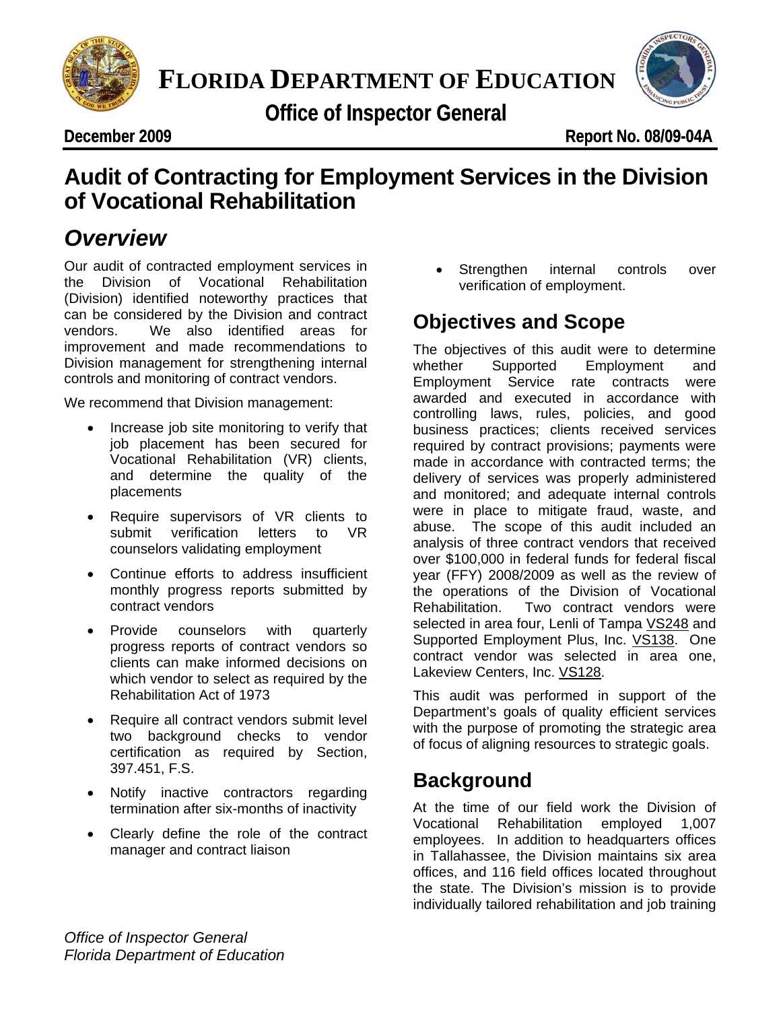

**PLORIDA DEPARTMENT OF ED**<br>Office of Inspector General<br> **Proper 2009 FLORIDA DEPARTMENT OF EDUCATION**



**December 2009 cember** 

**De Report No. 08/09-04A** 

### udit of Contracting for Employment Services in the<br>f Vocational Rehabilitation **Audit of Contracting for Employment Services in the Division of Vocational Rehabilitation**

# *Overview*

Our audit of contracted employment services in the Division of Vocational Rehabilitation (Division) identified noteworthy practices that can be considered by the Division and contract vendors. We also identified areas for improvement and made recommendations to Division management for strengthening internal controls and monitoring of contract vendors.

We recommend that Division management:

- Increase job site monitoring to verify that job placement has been secured for Vocational Rehabilitation (VR) clients, and determine the quality of the placements
- Require supervisors of VR clients to submit verification letters to VR counselors validating employment
- Continue efforts to address insufficient monthly progress reports submitted by contract vendors
- Provide counselors with quarterly progress reports of contract vendors so clients can make informed decisions on which vendor to select as required by the Rehabilitation Act of 1973
- Require all contract vendors submit level two background checks to vendor certification as required by Section, 397.451, F.S.
- Notify inactive contractors regarding termination after six-months of inactivity
- Clearly define the role of the contract manager and contract liaison

Strengthen internal controls over verification of employment.

# **Objectives and Scope**

The objectives of this audit were to determine whether Supported Employment and Employment Service rate contracts were awarded and executed in accordance with controlling laws, rules, policies, and good business practices; clients received services required by contract provisions; payments were made in accordance with contracted terms; the delivery of services was properly administered and monitored; and adequate internal controls were in place to mitigate fraud, waste, and abuse. The scope of this audit included an analysis of three contract vendors that received over \$100,000 in federal funds for federal fiscal year (FFY) 2008/2009 as well as the review of the operations of the Division of Vocational Rehabilitation. Two contract vendors were selected in area four, Lenli of Tampa VS248 and Supported Employment Plus, Inc. VS138. One contract vendor was selected in area one, Lakeview Centers, Inc. VS128.

This audit was performed in support of the Department's goals of quality efficient services with the purpose of promoting the strategic area of focus of aligning resources to strategic goals.

# **Background**

At the time of our field work the Division of Vocational Rehabilitation employed 1,007 employees. In addition to headquarters offices in Tallahassee, the Division maintains six area offices, and 116 field offices located throughout the state. The Division's mission is to provide individually tailored rehabilitation and job training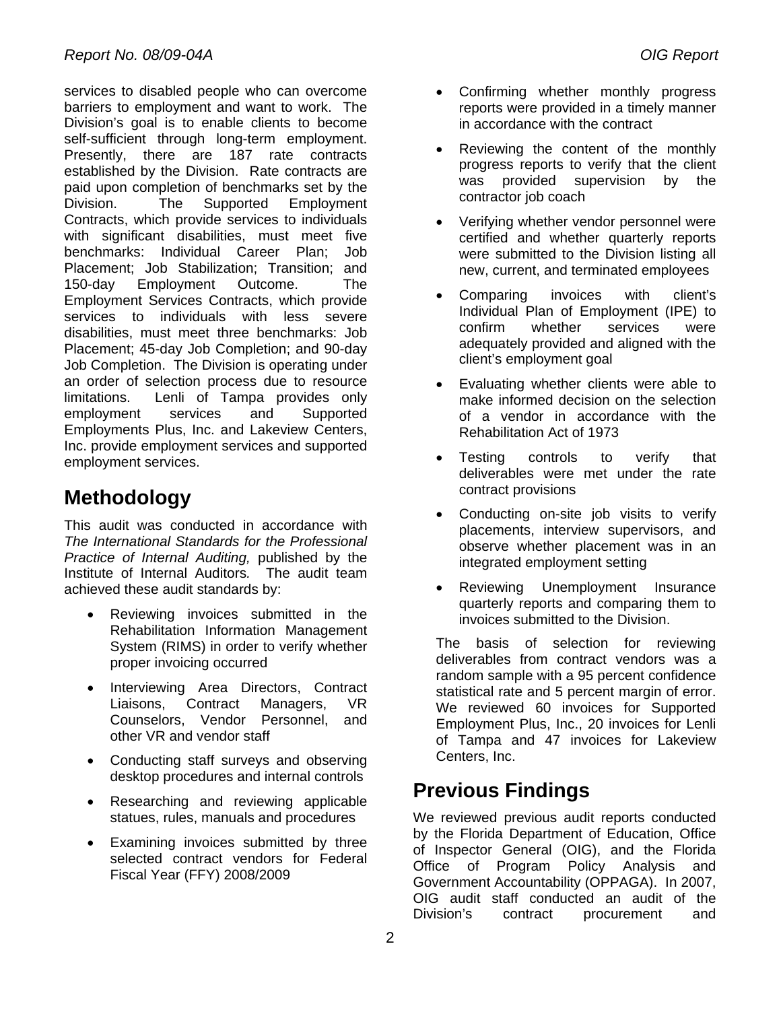services to disabled people who can overcome barriers to employment and want to work. The Division's goal is to enable clients to become self-sufficient through long-term employment. Presently, there are 187 rate contracts established by the Division. Rate contracts are paid upon completion of benchmarks set by the Division. The Supported Employment Contracts, which provide services to individuals with significant disabilities, must meet five benchmarks: Individual Career Plan; Job Placement; Job Stabilization; Transition; and 150-day Employment Outcome. The Employment Services Contracts, which provide services to individuals with less severe disabilities, must meet three benchmarks: Job Placement; 45-day Job Completion; and 90-day Job Completion. The Division is operating under an order of selection process due to resource limitations. Lenli of Tampa provides only employment services and Supported Employments Plus, Inc. and Lakeview Centers, Inc. provide employment services and supported employment services.

# **Methodology**

This audit was conducted in accordance with *The International Standards for the Professional Practice of Internal Auditing,* published by the Institute of Internal Auditors*.* The audit team achieved these audit standards by:

- Reviewing invoices submitted in the Rehabilitation Information Management System (RIMS) in order to verify whether proper invoicing occurred
- Interviewing Area Directors, Contract Liaisons, Contract Managers, VR Counselors, Vendor Personnel, and other VR and vendor staff
- Conducting staff surveys and observing desktop procedures and internal controls
- Researching and reviewing applicable statues, rules, manuals and procedures
- Examining invoices submitted by three selected contract vendors for Federal Fiscal Year (FFY) 2008/2009
- Confirming whether monthly progress reports were provided in a timely manner in accordance with the contract
- Reviewing the content of the monthly progress reports to verify that the client was provided supervision by the contractor job coach
- Verifying whether vendor personnel were certified and whether quarterly reports were submitted to the Division listing all new, current, and terminated employees
- Comparing invoices with client's Individual Plan of Employment (IPE) to confirm whether services were adequately provided and aligned with the client's employment goal
- Evaluating whether clients were able to make informed decision on the selection of a vendor in accordance with the Rehabilitation Act of 1973
- Testing controls to verify that deliverables were met under the rate contract provisions
- Conducting on-site job visits to verify placements, interview supervisors, and observe whether placement was in an integrated employment setting
- Reviewing Unemployment Insurance quarterly reports and comparing them to invoices submitted to the Division.

The basis of selection for reviewing deliverables from contract vendors was a random sample with a 95 percent confidence statistical rate and 5 percent margin of error. We reviewed 60 invoices for Supported Employment Plus, Inc., 20 invoices for Lenli of Tampa and 47 invoices for Lakeview Centers, Inc.

# **Previous Findings**

We reviewed previous audit reports conducted by the Florida Department of Education, Office of Inspector General (OIG), and the Florida Office of Program Policy Analysis and Government Accountability (OPPAGA). In 2007, OIG audit staff conducted an audit of the Division's contract procurement and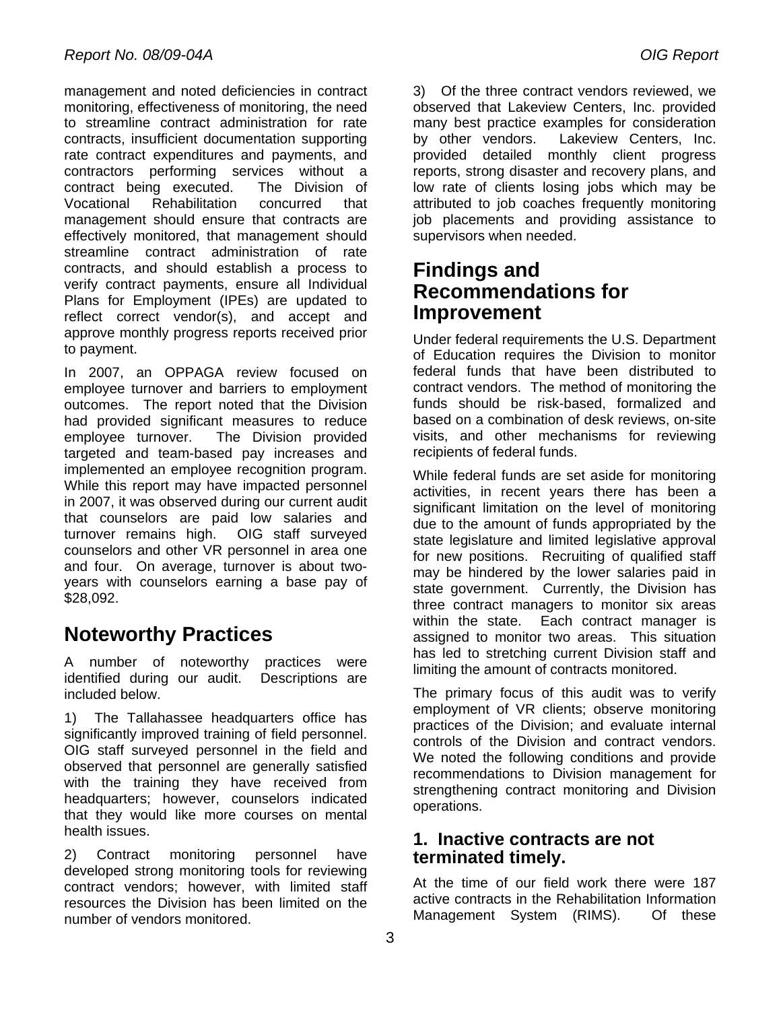management and noted deficiencies in contract monitoring, effectiveness of monitoring, the need to streamline contract administration for rate contracts, insufficient documentation supporting rate contract expenditures and payments, and contractors performing services without a contract being executed. The Division of Vocational Rehabilitation concurred that management should ensure that contracts are effectively monitored, that management should streamline contract administration of rate contracts, and should establish a process to verify contract payments, ensure all Individual Plans for Employment (IPEs) are updated to reflect correct vendor(s), and accept and approve monthly progress reports received prior to payment.

In 2007, an OPPAGA review focused on employee turnover and barriers to employment outcomes. The report noted that the Division had provided significant measures to reduce employee turnover. The Division provided targeted and team-based pay increases and implemented an employee recognition program. While this report may have impacted personnel in 2007, it was observed during our current audit that counselors are paid low salaries and turnover remains high. OIG staff surveyed counselors and other VR personnel in area one and four. On average, turnover is about twoyears with counselors earning a base pay of \$28,092.

# **Noteworthy Practices**

A number of noteworthy practices were identified during our audit. Descriptions are included below.

1)The Tallahassee headquarters office has significantly improved training of field personnel. OIG staff surveyed personnel in the field and observed that personnel are generally satisfied with the training they have received from headquarters; however, counselors indicated that they would like more courses on mental health issues.

2) Contract monitoring personnel have developed strong monitoring tools for reviewing contract vendors; however, with limited staff resources the Division has been limited on the number of vendors monitored.

3) Of the three contract vendors reviewed, we observed that Lakeview Centers, Inc. provided many best practice examples for consideration by other vendors. Lakeview Centers, Inc. provided detailed monthly client progress reports, strong disaster and recovery plans, and low rate of clients losing jobs which may be attributed to job coaches frequently monitoring job placements and providing assistance to supervisors when needed.

## **Findings and Recommendations for Improvement**

Under federal requirements the U.S. Department of Education requires the Division to monitor federal funds that have been distributed to contract vendors. The method of monitoring the funds should be risk-based, formalized and based on a combination of desk reviews, on-site visits, and other mechanisms for reviewing recipients of federal funds.

While federal funds are set aside for monitoring activities, in recent years there has been a significant limitation on the level of monitoring due to the amount of funds appropriated by the state legislature and limited legislative approval for new positions. Recruiting of qualified staff may be hindered by the lower salaries paid in state government. Currently, the Division has three contract managers to monitor six areas within the state. Each contract manager is assigned to monitor two areas. This situation has led to stretching current Division staff and limiting the amount of contracts monitored.

The primary focus of this audit was to verify employment of VR clients; observe monitoring practices of the Division; and evaluate internal controls of the Division and contract vendors. We noted the following conditions and provide recommendations to Division management for strengthening contract monitoring and Division operations.

#### **1. Inactive contracts are not terminated timely.**

At the time of our field work there were 187 active contracts in the Rehabilitation Information Management System (RIMS). Of these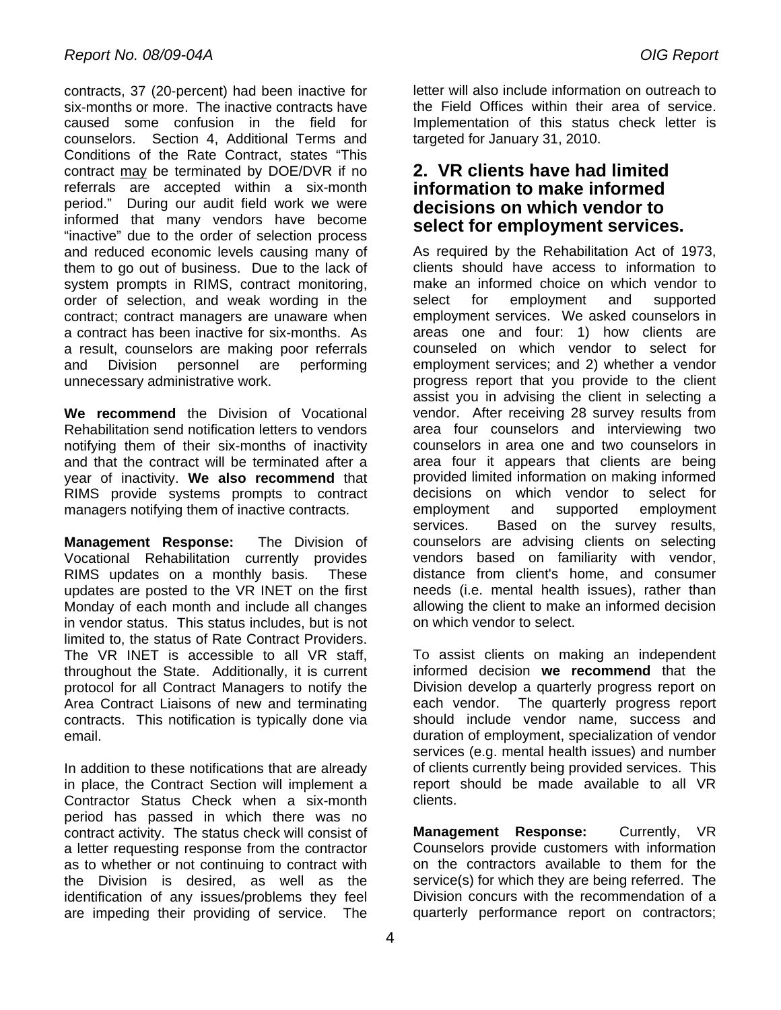contracts, 37 (20-percent) had been inactive for six-months or more. The inactive contracts have caused some confusion in the field for counselors. Section 4, Additional Terms and Conditions of the Rate Contract, states "This contract may be terminated by DOE/DVR if no referrals are accepted within a six-month period." During our audit field work we were informed that many vendors have become "inactive" due to the order of selection process and reduced economic levels causing many of them to go out of business. Due to the lack of system prompts in RIMS, contract monitoring, order of selection, and weak wording in the contract; contract managers are unaware when a contract has been inactive for six-months. As a result, counselors are making poor referrals and Division personnel are performing unnecessary administrative work.

**We recommend** the Division of Vocational Rehabilitation send notification letters to vendors notifying them of their six-months of inactivity and that the contract will be terminated after a year of inactivity. **We also recommend** that RIMS provide systems prompts to contract managers notifying them of inactive contracts.

**Management Response:** The Division of Vocational Rehabilitation currently provides RIMS updates on a monthly basis. These updates are posted to the VR INET on the first Monday of each month and include all changes in vendor status. This status includes, but is not limited to, the status of Rate Contract Providers. The VR INET is accessible to all VR staff. throughout the State. Additionally, it is current protocol for all Contract Managers to notify the Area Contract Liaisons of new and terminating contracts. This notification is typically done via email.

In addition to these notifications that are already in place, the Contract Section will implement a Contractor Status Check when a six-month period has passed in which there was no contract activity. The status check will consist of a letter requesting response from the contractor as to whether or not continuing to contract with the Division is desired, as well as the identification of any issues/problems they feel are impeding their providing of service. The

letter will also include information on outreach to the Field Offices within their area of service. Implementation of this status check letter is targeted for January 31, 2010.

#### **2. VR clients have had limited information to make informed decisions on which vendor to select for employment services.**

As required by the Rehabilitation Act of 1973, clients should have access to information to make an informed choice on which vendor to select for employment and supported employment services. We asked counselors in areas one and four: 1) how clients are counseled on which vendor to select for employment services; and 2) whether a vendor progress report that you provide to the client assist you in advising the client in selecting a vendor. After receiving 28 survey results from area four counselors and interviewing two counselors in area one and two counselors in area four it appears that clients are being provided limited information on making informed decisions on which vendor to select for employment and supported employment services. Based on the survey results, counselors are advising clients on selecting vendors based on familiarity with vendor, distance from client's home, and consumer needs (i.e. mental health issues), rather than allowing the client to make an informed decision on which vendor to select.

To assist clients on making an independent informed decision **we recommend** that the Division develop a quarterly progress report on each vendor. The quarterly progress report should include vendor name, success and duration of employment, specialization of vendor services (e.g. mental health issues) and number of clients currently being provided services. This report should be made available to all VR clients.

**Management Response:** Currently, VR Counselors provide customers with information on the contractors available to them for the service(s) for which they are being referred. The Division concurs with the recommendation of a quarterly performance report on contractors;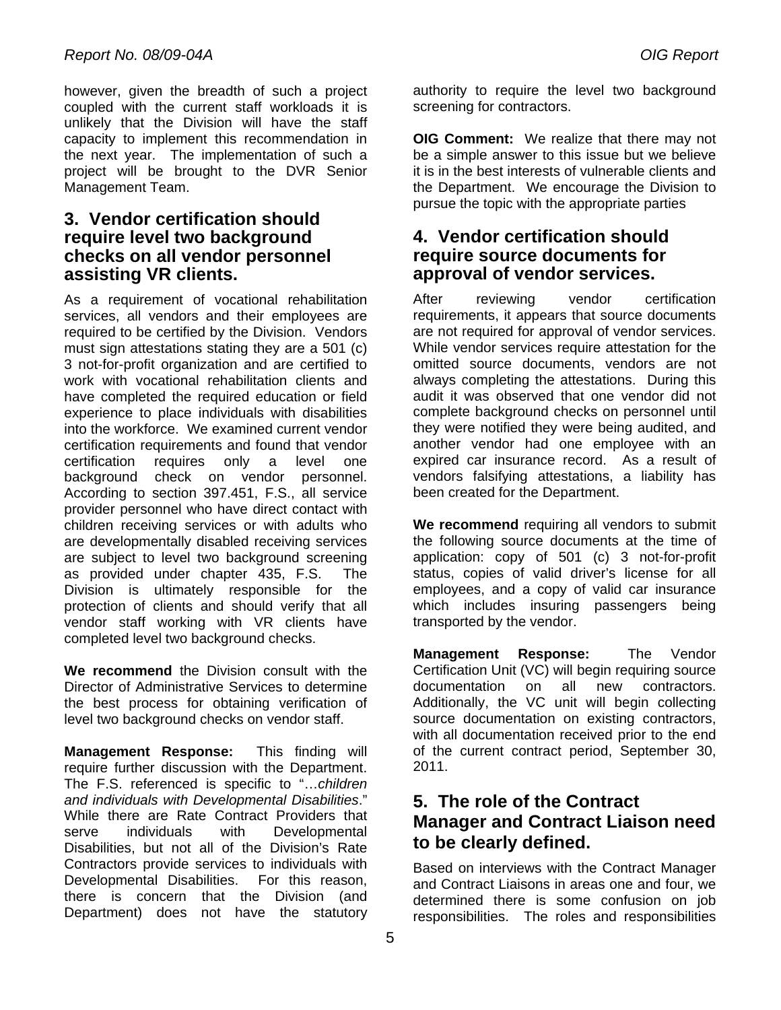however, given the breadth of such a project coupled with the current staff workloads it is unlikely that the Division will have the staff capacity to implement this recommendation in the next year. The implementation of such a project will be brought to the DVR Senior Management Team.

#### **3. Vendor certification should require level two background checks on all vendor personnel assisting VR clients.**

As a requirement of vocational rehabilitation services, all vendors and their employees are required to be certified by the Division. Vendors must sign attestations stating they are a 501 (c) 3 not-for-profit organization and are certified to work with vocational rehabilitation clients and have completed the required education or field experience to place individuals with disabilities into the workforce. We examined current vendor certification requirements and found that vendor certification requires only a level one background check on vendor personnel. According to section 397.451, F.S., all service provider personnel who have direct contact with children receiving services or with adults who are developmentally disabled receiving services are subject to level two background screening as provided under chapter 435, F.S. The Division is ultimately responsible for the protection of clients and should verify that all vendor staff working with VR clients have completed level two background checks.

**We recommend** the Division consult with the Director of Administrative Services to determine the best process for obtaining verification of level two background checks on vendor staff.

**Management Response:** This finding will require further discussion with the Department. The F.S. referenced is specific to "…*children and individuals with Developmental Disabilities*." While there are Rate Contract Providers that serve individuals with Developmental Disabilities, but not all of the Division's Rate Contractors provide services to individuals with Developmental Disabilities. For this reason, there is concern that the Division (and Department) does not have the statutory

authority to require the level two background screening for contractors.

**OIG Comment:** We realize that there may not be a simple answer to this issue but we believe it is in the best interests of vulnerable clients and the Department. We encourage the Division to pursue the topic with the appropriate parties

#### **4. Vendor certification should require source documents for approval of vendor services.**

After reviewing vendor certification requirements, it appears that source documents are not required for approval of vendor services. While vendor services require attestation for the omitted source documents, vendors are not always completing the attestations. During this audit it was observed that one vendor did not complete background checks on personnel until they were notified they were being audited, and another vendor had one employee with an expired car insurance record. As a result of vendors falsifying attestations, a liability has been created for the Department.

**We recommend** requiring all vendors to submit the following source documents at the time of application: copy of 501 (c) 3 not-for-profit status, copies of valid driver's license for all employees, and a copy of valid car insurance which includes insuring passengers being transported by the vendor.

**Management Response:** The Vendor Certification Unit (VC) will begin requiring source documentation on all new contractors. Additionally, the VC unit will begin collecting source documentation on existing contractors, with all documentation received prior to the end of the current contract period, September 30, 2011.

### **5. The role of the Contract Manager and Contract Liaison need to be clearly defined.**

Based on interviews with the Contract Manager and Contract Liaisons in areas one and four, we determined there is some confusion on job responsibilities. The roles and responsibilities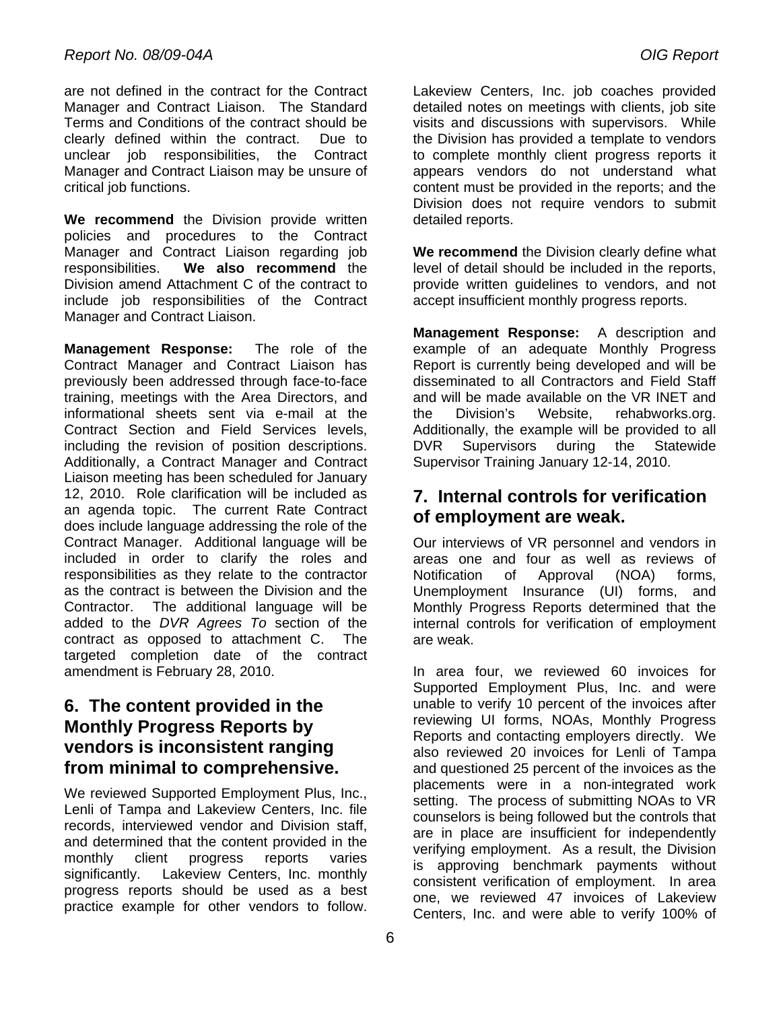are not defined in the contract for the Contract Manager and Contract Liaison. The Standard Terms and Conditions of the contract should be clearly defined within the contract. Due to unclear job responsibilities, the Contract Manager and Contract Liaison may be unsure of critical job functions.

**We recommend** the Division provide written policies and procedures to the Contract Manager and Contract Liaison regarding job responsibilities. **We also recommend** the Division amend Attachment C of the contract to include job responsibilities of the Contract Manager and Contract Liaison.

**Management Response:** The role of the Contract Manager and Contract Liaison has previously been addressed through face-to-face training, meetings with the Area Directors, and informational sheets sent via e-mail at the Contract Section and Field Services levels, including the revision of position descriptions. Additionally, a Contract Manager and Contract Liaison meeting has been scheduled for January 12, 2010. Role clarification will be included as an agenda topic. The current Rate Contract does include language addressing the role of the Contract Manager. Additional language will be included in order to clarify the roles and responsibilities as they relate to the contractor as the contract is between the Division and the Contractor. The additional language will be added to the *DVR Agrees To* section of the contract as opposed to attachment C. The targeted completion date of the contract amendment is February 28, 2010.

### **6. The content provided in the Monthly Progress Reports by vendors is inconsistent ranging from minimal to comprehensive.**

We reviewed Supported Employment Plus, Inc., Lenli of Tampa and Lakeview Centers, Inc. file records, interviewed vendor and Division staff, and determined that the content provided in the monthly client progress reports varies significantly. Lakeview Centers, Inc. monthly progress reports should be used as a best practice example for other vendors to follow.

Lakeview Centers, Inc. job coaches provided detailed notes on meetings with clients, job site visits and discussions with supervisors. While the Division has provided a template to vendors to complete monthly client progress reports it appears vendors do not understand what content must be provided in the reports; and the Division does not require vendors to submit detailed reports.

**We recommend** the Division clearly define what level of detail should be included in the reports, provide written guidelines to vendors, and not accept insufficient monthly progress reports.

**Management Response:** A description and example of an adequate Monthly Progress Report is currently being developed and will be disseminated to all Contractors and Field Staff and will be made available on the VR INET and the Division's Website, rehabworks.org. Additionally, the example will be provided to all DVR Supervisors during the Statewide Supervisor Training January 12-14, 2010.

### **7. Internal controls for verification of employment are weak.**

Our interviews of VR personnel and vendors in areas one and four as well as reviews of Notification of Approval (NOA) forms, Unemployment Insurance (UI) forms, and Monthly Progress Reports determined that the internal controls for verification of employment are weak.

In area four, we reviewed 60 invoices for Supported Employment Plus, Inc. and were unable to verify 10 percent of the invoices after reviewing UI forms, NOAs, Monthly Progress Reports and contacting employers directly. We also reviewed 20 invoices for Lenli of Tampa and questioned 25 percent of the invoices as the placements were in a non-integrated work setting. The process of submitting NOAs to VR counselors is being followed but the controls that are in place are insufficient for independently verifying employment. As a result, the Division is approving benchmark payments without consistent verification of employment. In area one, we reviewed 47 invoices of Lakeview Centers, Inc. and were able to verify 100% of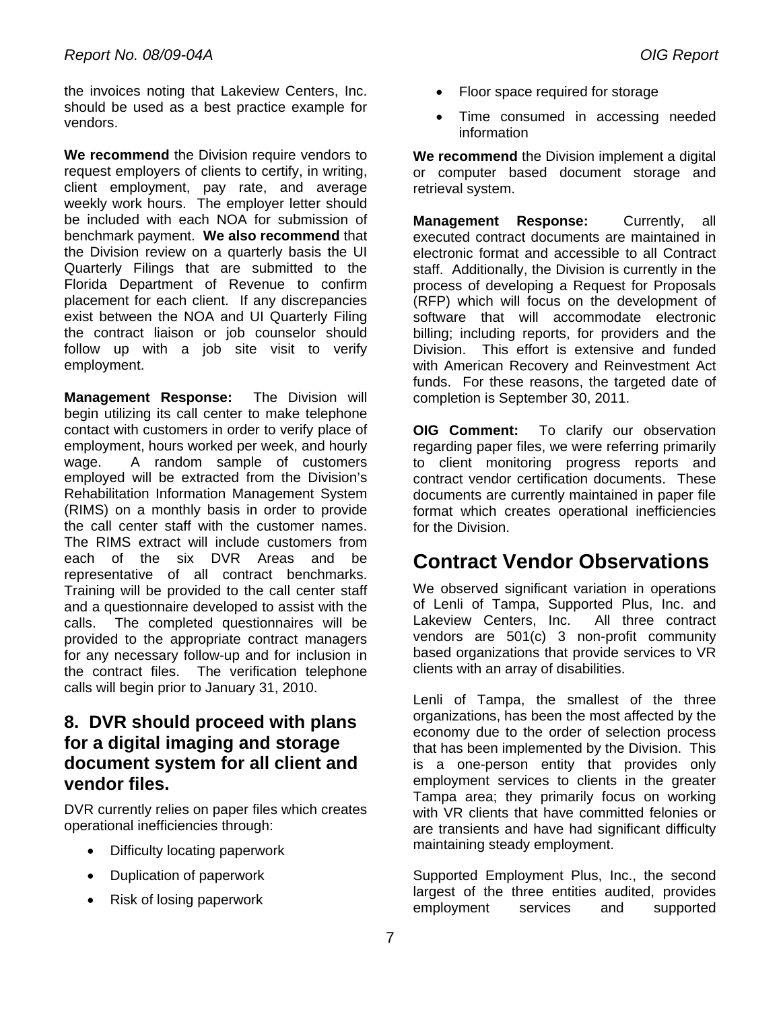the invoices noting that Lakeview Centers, Inc. should be used as a best practice example for vendors.

**We recommend** the Division require vendors to request employers of clients to certify, in writing, client employment, pay rate, and average weekly work hours. The employer letter should be included with each NOA for submission of benchmark payment. **We also recommend** that the Division review on a quarterly basis the UI Quarterly Filings that are submitted to the Florida Department of Revenue to confirm placement for each client. If any discrepancies exist between the NOA and UI Quarterly Filing the contract liaison or job counselor should follow up with a job site visit to verify employment.

**Management Response:** The Division will begin utilizing its call center to make telephone contact with customers in order to verify place of employment, hours worked per week, and hourly wage. A random sample of customers employed will be extracted from the Division's Rehabilitation Information Management System (RIMS) on a monthly basis in order to provide the call center staff with the customer names. The RIMS extract will include customers from each of the six DVR Areas and be representative of all contract benchmarks. Training will be provided to the call center staff and a questionnaire developed to assist with the calls. The completed questionnaires will be provided to the appropriate contract managers for any necessary follow-up and for inclusion in the contract files. The verification telephone calls will begin prior to January 31, 2010.

### **8. DVR should proceed with plans for a digital imaging and storage document system for all client and vendor files.**

DVR currently relies on paper files which creates operational inefficiencies through:

- Difficulty locating paperwork
- Duplication of paperwork
- Risk of losing paperwork
- Floor space required for storage
- Time consumed in accessing needed information

**We recommend** the Division implement a digital or computer based document storage and retrieval system.

**Management Response:** Currently, all executed contract documents are maintained in electronic format and accessible to all Contract staff. Additionally, the Division is currently in the process of developing a Request for Proposals (RFP) which will focus on the development of software that will accommodate electronic billing; including reports, for providers and the Division. This effort is extensive and funded with American Recovery and Reinvestment Act funds. For these reasons, the targeted date of completion is September 30, 2011.

**OIG Comment:** To clarify our observation regarding paper files, we were referring primarily to client monitoring progress reports and contract vendor certification documents. These documents are currently maintained in paper file format which creates operational inefficiencies for the Division.

# **Contract Vendor Observations**

We observed significant variation in operations of Lenli of Tampa, Supported Plus, Inc. and Lakeview Centers, Inc. All three contract vendors are 501(c) 3 non-profit community based organizations that provide services to VR clients with an array of disabilities.

Lenli of Tampa, the smallest of the three organizations, has been the most affected by the economy due to the order of selection process that has been implemented by the Division. This is a one-person entity that provides only employment services to clients in the greater Tampa area; they primarily focus on working with VR clients that have committed felonies or are transients and have had significant difficulty maintaining steady employment.

Supported Employment Plus, Inc., the second largest of the three entities audited, provides employment services and supported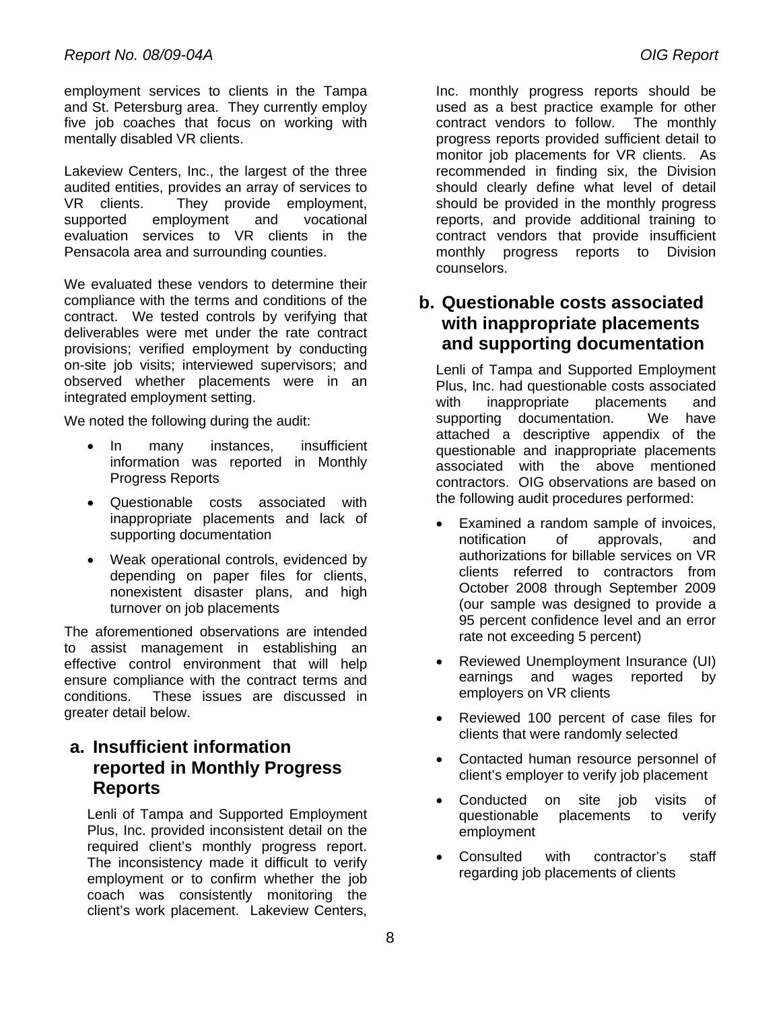employment services to clients in the Tampa and St. Petersburg area. They currently employ five job coaches that focus on working with mentally disabled VR clients.

Lakeview Centers, Inc., the largest of the three audited entities, provides an array of services to VR clients. They provide employment, supported employment and vocational evaluation services to VR clients in the Pensacola area and surrounding counties.

We evaluated these vendors to determine their compliance with the terms and conditions of the contract. We tested controls by verifying that deliverables were met under the rate contract provisions; verified employment by conducting on-site job visits; interviewed supervisors; and observed whether placements were in an integrated employment setting.

We noted the following during the audit:

- In many instances, insufficient information was reported in Monthly Progress Reports
- Questionable costs associated with inappropriate placements and lack of supporting documentation
- Weak operational controls, evidenced by depending on paper files for clients, nonexistent disaster plans, and high turnover on job placements

The aforementioned observations are intended to assist management in establishing an effective control environment that will help ensure compliance with the contract terms and conditions. These issues are discussed in greater detail below.

### **a. Insufficient information reported in Monthly Progress Reports**

Lenli of Tampa and Supported Employment Plus, Inc. provided inconsistent detail on the required client's monthly progress report. The inconsistency made it difficult to verify employment or to confirm whether the job coach was consistently monitoring the client's work placement. Lakeview Centers,

Inc. monthly progress reports should be used as a best practice example for other contract vendors to follow. The monthly progress reports provided sufficient detail to monitor job placements for VR clients. As recommended in finding six, the Division should clearly define what level of detail should be provided in the monthly progress reports, and provide additional training to contract vendors that provide insufficient monthly progress reports to Division counselors.

#### **b. Questionable costs associated with inappropriate placements and supporting documentation**

Lenli of Tampa and Supported Employment Plus, Inc. had questionable costs associated with inappropriate placements and supporting documentation. We have attached a descriptive appendix of the questionable and inappropriate placements associated with the above mentioned contractors. OIG observations are based on the following audit procedures performed:

- Examined a random sample of invoices, notification of approvals, and authorizations for billable services on VR clients referred to contractors from October 2008 through September 2009 (our sample was designed to provide a 95 percent confidence level and an error rate not exceeding 5 percent)
- Reviewed Unemployment Insurance (UI) earnings and wages reported by employers on VR clients
- Reviewed 100 percent of case files for clients that were randomly selected
- Contacted human resource personnel of client's employer to verify job placement
- Conducted on site job visits of questionable placements to verify employment
- Consulted with contractor's staff regarding job placements of clients